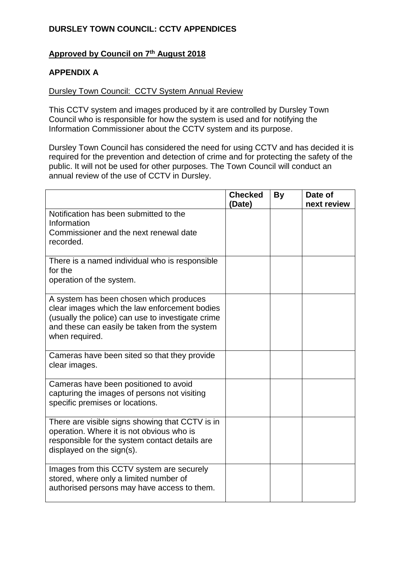## **Approved by Council on 7th August 2018**

### **APPENDIX A**

#### Dursley Town Council: CCTV System Annual Review

This CCTV system and images produced by it are controlled by Dursley Town Council who is responsible for how the system is used and for notifying the Information Commissioner about the CCTV system and its purpose.

Dursley Town Council has considered the need for using CCTV and has decided it is required for the prevention and detection of crime and for protecting the safety of the public. It will not be used for other purposes. The Town Council will conduct an annual review of the use of CCTV in Dursley.

|                                                                                                                                                                                                                  | <b>Checked</b><br>(Date) | <b>By</b> | Date of<br>next review |
|------------------------------------------------------------------------------------------------------------------------------------------------------------------------------------------------------------------|--------------------------|-----------|------------------------|
| Notification has been submitted to the<br>Information<br>Commissioner and the next renewal date<br>recorded.                                                                                                     |                          |           |                        |
| There is a named individual who is responsible<br>for the<br>operation of the system.                                                                                                                            |                          |           |                        |
| A system has been chosen which produces<br>clear images which the law enforcement bodies<br>(usually the police) can use to investigate crime<br>and these can easily be taken from the system<br>when required. |                          |           |                        |
| Cameras have been sited so that they provide<br>clear images.                                                                                                                                                    |                          |           |                        |
| Cameras have been positioned to avoid<br>capturing the images of persons not visiting<br>specific premises or locations.                                                                                         |                          |           |                        |
| There are visible signs showing that CCTV is in<br>operation. Where it is not obvious who is<br>responsible for the system contact details are<br>displayed on the sign(s).                                      |                          |           |                        |
| Images from this CCTV system are securely<br>stored, where only a limited number of<br>authorised persons may have access to them.                                                                               |                          |           |                        |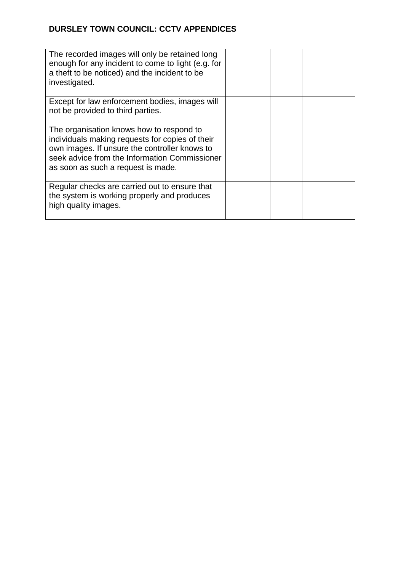| The recorded images will only be retained long<br>enough for any incident to come to light (e.g. for<br>a theft to be noticed) and the incident to be<br>investigated.                                                              |  |  |
|-------------------------------------------------------------------------------------------------------------------------------------------------------------------------------------------------------------------------------------|--|--|
| Except for law enforcement bodies, images will<br>not be provided to third parties.                                                                                                                                                 |  |  |
| The organisation knows how to respond to<br>individuals making requests for copies of their<br>own images. If unsure the controller knows to<br>seek advice from the Information Commissioner<br>as soon as such a request is made. |  |  |
| Regular checks are carried out to ensure that<br>the system is working properly and produces<br>high quality images.                                                                                                                |  |  |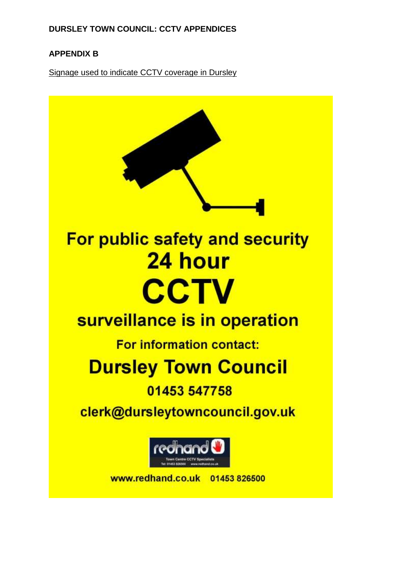# **APPENDIX B**

Signage used to indicate CCTV coverage in Dursley